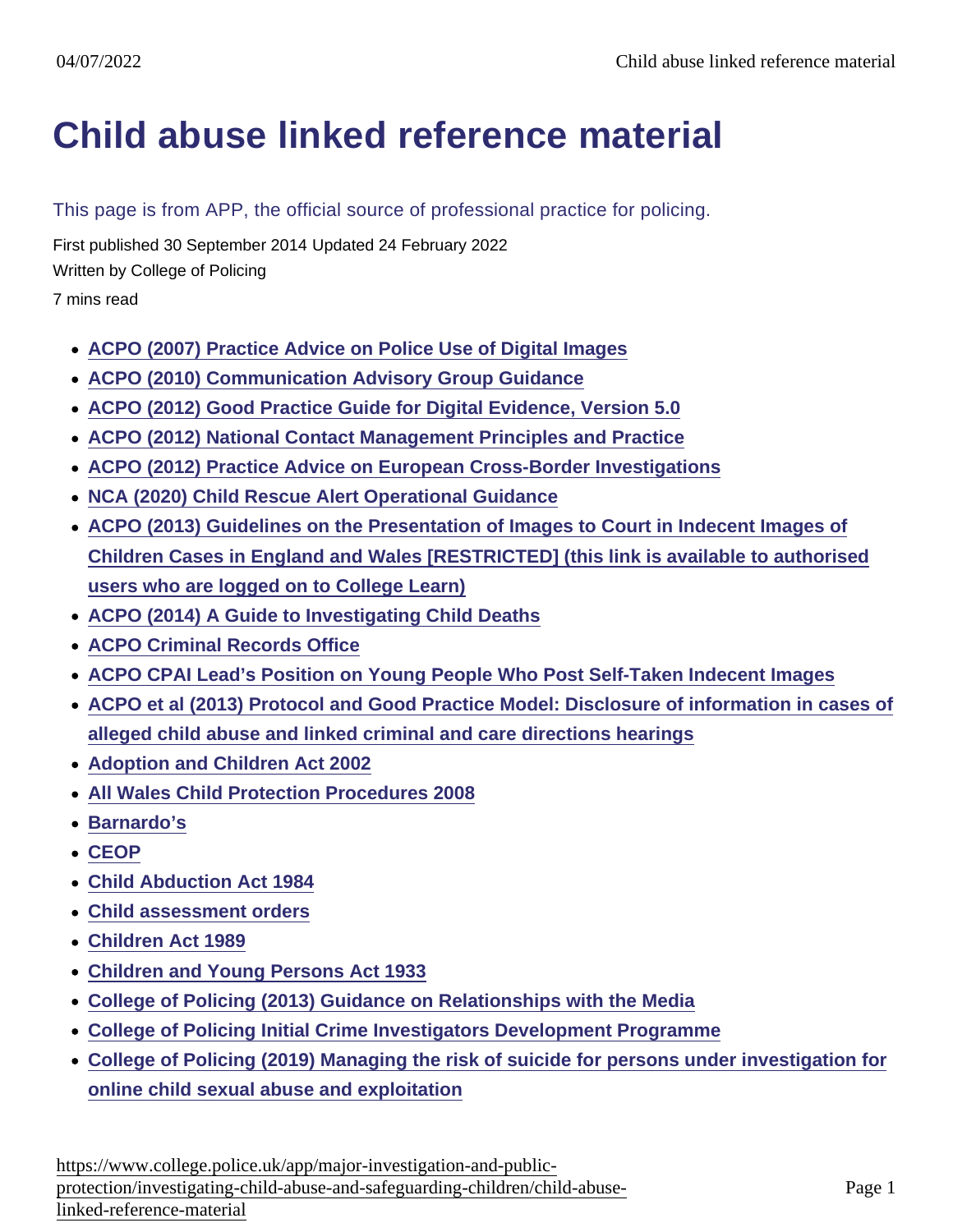## [Child abuse linked reference material](https://www.college.police.uk/app/major-investigation-and-public-protection/investigating-child-abuse-and-safeguarding-children/child-abuse-linked-reference-material)

This page is from APP, the official source of professional practice for policing.

First published 30 September 2014 Updated 24 February 2022

Written by College of Policing

7 mins read

- [ACPO \(2007\) Practice Advice on Police Use of Digital Images](https://library.college.police.uk/docs/acpo/Police-Use-of-Digital-Images-2007.pdf)
- [ACPO \(2010\) Communication Advisory Group Guidance](http://www.acpo.police.uk/documents/Communications/ACPO CAG guidance 2010 Final.pdf)
- [ACPO \(2012\) Good Practice Guide for Digital Evidence, Version 5.0](https://library.college.police.uk/docs/acpo/digital-evidence-2012.pdf)
- [ACPO \(2012\) National Contact Management Principles and Practice](https://library.college.police.uk/docs/NPIA/National-Contact-Management-Principles-and-Practice-2012.pdf)
- [ACPO \(2012\) Practice Advice on European Cross-Border Investigations](https://library.college.police.uk/docs/appref/european-cross-border-investigations.pdf)
- [NCA \(2020\) Child Rescue Alert Operational Guidance](https://www.learn.college.pnn.police.uk/Course/Details/37768)
- [ACPO \(2013\) Guidelines on the Presentation of Images to Court in Indecent Images of](https://www.learn.college.police.uk/Course/Details/35367) [Children Cases in England and Wales \[RESTRICTED\] \(this link is available to authorised](https://www.learn.college.police.uk/Course/Details/35367) [users who are logged on to College Learn\)](https://www.learn.college.police.uk/Course/Details/35367)
- [ACPO \(2014\) A Guide to Investigating Child Deaths](https://library.college.police.uk/docs/acpo/ACPO-guide-to-investigating-child-deaths-2014.doc)
- [ACPO Criminal Records Office](http://www.acro.police.uk/Who_we_are_and_what_we_do.aspx)
- [ACPO CPAI Lead's Position on Young People Who Post Self-Taken Indecent Images](http://ceop.police.uk/Documents/ceopdocs/externaldocs/ACPO_Lead_position_on_Self_Taken_Images.pdf)
- [ACPO et al \(2013\) Protocol and Good Practice Model: Disclosure of information in cases of](https://library.college.police.uk/docs/APPREF/Protocol-and-good-practice-model-2013.pdf) [alleged child abuse and linked criminal and care directions hearings](https://library.college.police.uk/docs/APPREF/Protocol-and-good-practice-model-2013.pdf)
- [Adoption and Children Act 2002](http://www.legislation.gov.uk/ukpga/2002/38/contents)
- [All Wales Child Protection Procedures 2008](https://library.college.police.uk/docs/APPREF/all-wales-child-protection-procedures.pdf)
- [Barnardo's](http://www.barnardos.org.uk/)
- [CEOP](http://ceop.police.uk/)
- [Child Abduction Act 1984](http://www.legislation.gov.uk/ukpga/1984/37/contents)
- [Child assessment orders](http://www.inbrief.co.uk/child-law/child-assessment-orders.htm)
- [Children Act 1989](http://www.legislation.gov.uk/ukpga/1989/41/contents)
- [Children and Young Persons Act 1933](http://www.legislation.gov.uk/ukpga/Geo5/23-24/12/contents)
- [College of Policing \(2013\) Guidance on Relationships with the Media](https://library.college.police.uk/docs/college-of-policing/Media-Relationships-Guidance-2013.pdf)
- [College of Policing Initial Crime Investigators Development Programme](http://www.college.police.uk/en/5237.htm)
- [College of Policing \(2019\) Managing the risk of suicide for persons under investigation for](https://library.college.police.uk/docs/appref/Suicide-Risk-Operational-Advice-Final.pdf) [online child sexual abuse and exploitation](https://library.college.police.uk/docs/appref/Suicide-Risk-Operational-Advice-Final.pdf)

[https://www.college.police.uk/app/major-investigation-and-pu](https://www.college.police.uk/app/major-investigation-and-public-protection/investigating-child-abuse-and-safeguarding-children/child-abuse-linked-reference-material)blic[protection/investigating-child-abuse-and-safeguarding-children/child-a](https://www.college.police.uk/app/major-investigation-and-public-protection/investigating-child-abuse-and-safeguarding-children/child-abuse-linked-reference-material)buse[linked-reference-materi](https://www.college.police.uk/app/major-investigation-and-public-protection/investigating-child-abuse-and-safeguarding-children/child-abuse-linked-reference-material)al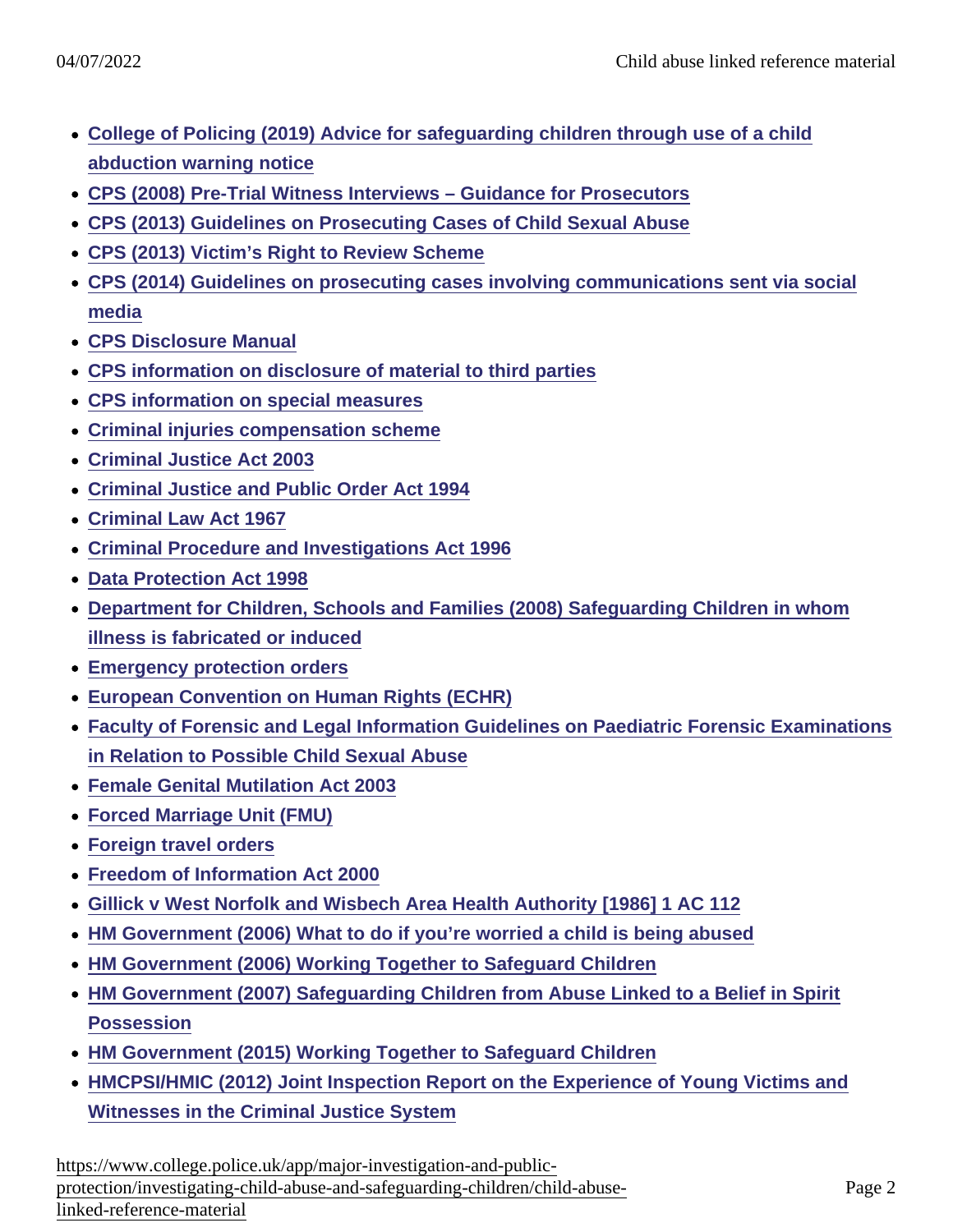- [College of Policing \(2019\) Advice for safeguarding children through use of a child](https://library.college.police.uk/docs/appref/CAWN_Procedures_final_v1.0_240919.pdf) [abduction warning notice](https://library.college.police.uk/docs/appref/CAWN_Procedures_final_v1.0_240919.pdf)
- [CPS \(2008\) Pre-Trial Witness Interviews Guidance for Prosecutors](http://www.cps.gov.uk/legal/p_to_r/pre_-trial_witness_interviews/)
- [CPS \(2013\) Guidelines on Prosecuting Cases of Child Sexual Abuse](https://www.cps.gov.uk/legal-guidance/guidelines-prosecuting-cases-child-sexual-abuse)
- [CPS \(2013\) Victim's Right to Review Scheme](http://www.cps.gov.uk/victims_witnesses/victims_right_to_review/index.html)
- [CPS \(2014\) Guidelines on prosecuting cases involving communications sent via social](http://www.cps.gov.uk/legal/a_to_c/communications_sent_via_social_media/) [media](http://www.cps.gov.uk/legal/a_to_c/communications_sent_via_social_media/)
- [CPS Disclosure Manual](http://www.cps.gov.uk/legal/d_to_g/disclosure_manual/)
- [CPS information on disclosure of material to third parties](http://www.cps.gov.uk/legal/d_to_g/disclosure_of_third_parties/)
- [CPS information on special measures](http://www.cps.gov.uk/legal/s_to_u/special_measures/)
- [Criminal injuries compensation scheme](http://www.justice.gov.uk/downloads/victims-and-witnesses/cic-a/how-to-apply/cica-guide.pdf)
- [Criminal Justice Act 2003](http://www.legislation.gov.uk/ukpga/2003/44/contents)
- [Criminal Justice and Public Order Act 1994](http://www.legislation.gov.uk/ukpga/1994/33/contents)
- [Criminal Law Act 1967](http://www.legislation.gov.uk/ukpga/1967/58/contents)
- [Criminal Procedure and Investigations Act 1996](http://www.legislation.gov.uk/ukpga/1996/25/contents)
- [Data Protection Act 1998](http://www.legislation.gov.uk/ukpga/1998/29/contents)
- [Department for Children, Schools and Families \(2008\) Safeguarding Children in whom](https://www.gov.uk/government/uploads/system/uploads/attachment_data/file/277314/Safeguarding_Children_in_whom_illness_is_fabricated_or_induced.pdf) [illness is fabricated or induced](https://www.gov.uk/government/uploads/system/uploads/attachment_data/file/277314/Safeguarding_Children_in_whom_illness_is_fabricated_or_induced.pdf)
- [Emergency protection orders](http://www.legislation.gov.uk/ukpga/1989/41/section/44)
- [European Convention on Human Rights \(ECHR\)](http://www.conventions.coe.int/Treaty/en/Treaties/Html/005.htm)
- [Faculty of Forensic and Legal Information Guidelines on Paediatric Forensic Examinations](http://www.fflm.ac.uk/wp-content/uploads/documentstore/1352802061.pdf) [in Relation to Possible Child Sexual Abuse](http://www.fflm.ac.uk/wp-content/uploads/documentstore/1352802061.pdf)
- [Female Genital Mutilation Act 2003](http://www.legislation.gov.uk/ukpga/2003/31/contents)
- [Forced Marriage Unit \(FMU\)](https://www.gov.uk/forced-marriage#forced-marriage-unit)
- [Foreign travel orders](http://www.legislation.gov.uk/ukpga/2003/42/part/2/crossheading/foreign-travel-orders)
- [Freedom of Information Act 2000](http://www.legislation.gov.uk/ukpga/2000/36/contents)
- [Gillick v West Norfolk and Wisbech Area Health Authority \[1986\] 1 AC 112](http://www.bailii.org/uk/cases/UKHL/1985/7.html)
- [HM Government \(2006\) What to do if you're worried a child is being abused](https://www.gov.uk/government/uploads/system/uploads/attachment_data/file/190604/DFES-04320-2006-ChildAbuse.pdf)
- [HM Government \(2006\) Working Together to Safeguard Children](http://webarchive.nationalarchives.gov.uk/20130401151715/https://www.education.gov.uk/publications/eOrderingDownload/WT2006 Working_together.pdf)
- [HM Government \(2007\) Safeguarding Children from Abuse Linked to a Belief in Spirit](http://webarchive.nationalarchives.gov.uk/20130401151715/https://www.education.gov.uk/publications/eOrderingDownload/DFES-00465-2007.pdf) **[Possession](http://webarchive.nationalarchives.gov.uk/20130401151715/https://www.education.gov.uk/publications/eOrderingDownload/DFES-00465-2007.pdf)**
- [HM Government \(2015\) Working Together to Safeguard Children](https://library.college.police.uk/docs/Working-Together-to-Safeguard-Children-2015.pdf)
- [HMCPSI/HMIC \(2012\) Joint Inspection Report on the Experience of Young Victims and](http://www.hmcpsi.gov.uk/documents/reports/CJJI_THM/VWEX/CJJI_YVW_Jan12_rpt.pdf) [Witnesses in the Criminal Justice System](http://www.hmcpsi.gov.uk/documents/reports/CJJI_THM/VWEX/CJJI_YVW_Jan12_rpt.pdf)

[https://www.college.police.uk/app/major-investigation-and-pu](https://www.college.police.uk/app/major-investigation-and-public-protection/investigating-child-abuse-and-safeguarding-children/child-abuse-linked-reference-material)blic[protection/investigating-child-abuse-and-safeguarding-children/child-a](https://www.college.police.uk/app/major-investigation-and-public-protection/investigating-child-abuse-and-safeguarding-children/child-abuse-linked-reference-material)buse[linked-reference-materi](https://www.college.police.uk/app/major-investigation-and-public-protection/investigating-child-abuse-and-safeguarding-children/child-abuse-linked-reference-material)al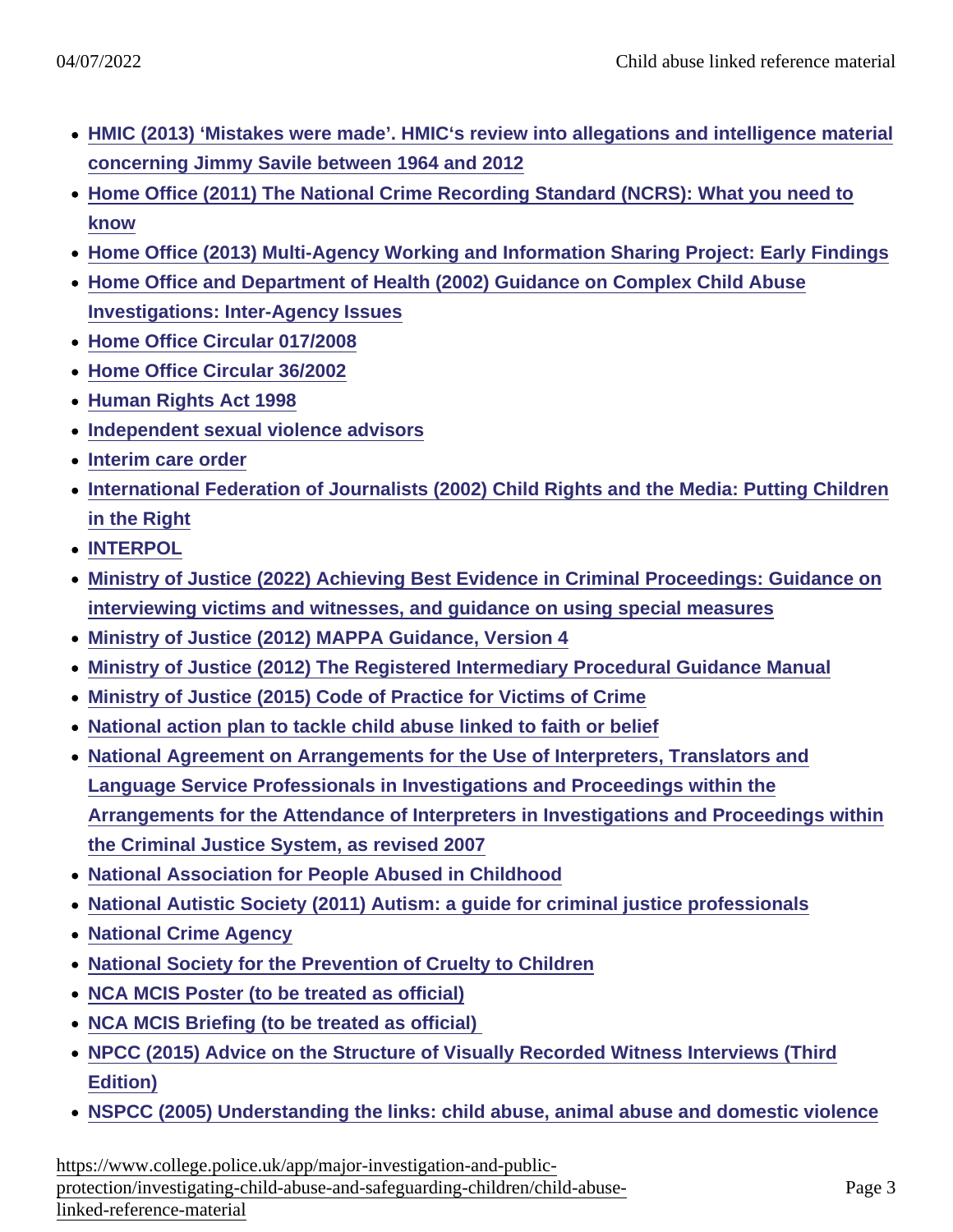- [HMIC \(2013\) 'Mistakes were made'. HMIC's review into allegations and intelligence material](https://www.justiceinspectorates.gov.uk/hmicfrs/media/review-into-allegations-and-intelligence-material-concerning-jimmy-savile.pdf) [concerning Jimmy Savile between 1964 and 2012](https://www.justiceinspectorates.gov.uk/hmicfrs/media/review-into-allegations-and-intelligence-material-concerning-jimmy-savile.pdf)
- [Home Office \(2011\) The National Crime Recording Standard \(NCRS\): What you need to](https://www.gov.uk/government/uploads/system/uploads/attachment_data/file/116269/ncrs.pdf) [know](https://www.gov.uk/government/uploads/system/uploads/attachment_data/file/116269/ncrs.pdf)
- [Home Office \(2013\) Multi-Agency Working and Information Sharing Project: Early Findings](https://www.gov.uk/government/uploads/system/uploads/attachment_data/file/225012/MASH_Product.pdf)
- [Home Office and Department of Health \(2002\) Guidance on Complex Child Abuse](http://www.nscb.org.uk/sites/default/files/Complex Child Abuse Investigations Guidance[1].pdf) [Investigations: Inter-Agency Issues](http://www.nscb.org.uk/sites/default/files/Complex Child Abuse Investigations Guidance[1].pdf)
- [Home Office Circular 017/2008](http://205.139.89.196/about-us/corporate-publications-strategy/home-office-circulars/circulars-2008/017-2008/)
- [Home Office Circular 36/2002](https://library.college.police.uk/docs/hocirc/ho-circ-2002-036.pdf)
- [Human Rights Act 1998](http://www.legislation.gov.uk/ukpga/1998/42/contents)
- [Independent sexual violence advisors](http://www.thesurvivorstrust.org/isva/)
- [Interim care order](http://www.legislation.gov.uk/ukpga/1989/41/section/38)
- [International Federation of Journalists \(2002\) Child Rights and the Media: Putting Children](http://www.ifj.org/assets/docs/247/254/cf73bf7-c75e9fe.pdf) [in the Right](http://www.ifj.org/assets/docs/247/254/cf73bf7-c75e9fe.pdf)
- [INTERPOL](http://www.interpol.int/Contact-INTERPOL)
- [Ministry of Justice \(2022\) Achieving Best Evidence in Criminal Proceedings: Guidance on](https://www.gov.uk/government/publications/achieving-best-evidence-in-criminal-proceedings) [interviewing victims and witnesses, and guidance on using special measures](https://www.gov.uk/government/publications/achieving-best-evidence-in-criminal-proceedings)
- [Ministry of Justice \(2012\) MAPPA Guidance, Version 4](http://www.justice.gov.uk/downloads/offenders/mappa/mappa-guidance-2012-part1.pdf)
- [Ministry of Justice \(2012\) The Registered Intermediary Procedural Guidance Manual](http://www.cps.gov.uk/publications/docs/RI_ProceduralGuidanceManual_2012.pdf)
- [Ministry of Justice \(2015\) Code of Practice for Victims of Crime](https://www.gov.uk/government/uploads/system/uploads/attachment_data/file/470212/code-of-practice-for-victims-of-crime.PDF)
- [National action plan to tackle child abuse linked to faith or belief](https://www.gov.uk/government/uploads/system/uploads/attachment_data/file/175437/Action_Plan_-_Abuse_linked_to_Faith_or_Belief.pdf)
- [National Agreement on Arrangements for the Use of Interpreters, Translators and](http://www.justice.gov.uk/downloads/courts/interpreters/National_Agreement_on_Use_of_Interpreters-August_2008.pdf) [Language Service Professionals in Investigations and Proceedings within the](http://www.justice.gov.uk/downloads/courts/interpreters/National_Agreement_on_Use_of_Interpreters-August_2008.pdf) [Arrangements for the Attendance of Interpreters in Investigations and Proceedings within](http://www.justice.gov.uk/downloads/courts/interpreters/National_Agreement_on_Use_of_Interpreters-August_2008.pdf) [the Criminal Justice System, as revised 2007](http://www.justice.gov.uk/downloads/courts/interpreters/National_Agreement_on_Use_of_Interpreters-August_2008.pdf)
- [National Association for People Abused in Childhood](http://www.napac.org.uk/about.asp)
- [National Autistic Society \(2011\) Autism: a guide for criminal justice professionals](http://www.autism.org.uk/cjs)
- [National Crime Agency](http://www.nationalcrimeagency.gov.uk/)
- [National Society for the Prevention of Cruelty to Children](http://www.nspcc.org.uk/)
- [NCA MCIS Poster \(to be treated as official\)](https://www.learn.college.pnn.police.uk/Course/Details/36202)
- NCA MCIS Briefing (to be treated as official)
- [NPCC \(2015\) Advice on the Structure of Visually Recorded Witness Interviews \(Third](https://library.college.police.uk/docs/appref/NPCC-(2015)-Guidance-Visually-Recorded-Interviews 3rd Edition.pdf) [Edition\)](https://library.college.police.uk/docs/appref/NPCC-(2015)-Guidance-Visually-Recorded-Interviews 3rd Edition.pdf)
- [NSPCC \(2005\) Understanding the links: child abuse, animal abuse and domestic violence](http://www.nspcc.org.uk/inform/publications/downloads/understandingthelinks_wdf48177.pdf)

[https://www.college.police.uk/app/major-investigation-and-pu](https://www.college.police.uk/app/major-investigation-and-public-protection/investigating-child-abuse-and-safeguarding-children/child-abuse-linked-reference-material)blic[protection/investigating-child-abuse-and-safeguarding-children/child-a](https://www.college.police.uk/app/major-investigation-and-public-protection/investigating-child-abuse-and-safeguarding-children/child-abuse-linked-reference-material)buse[linked-reference-materi](https://www.college.police.uk/app/major-investigation-and-public-protection/investigating-child-abuse-and-safeguarding-children/child-abuse-linked-reference-material)al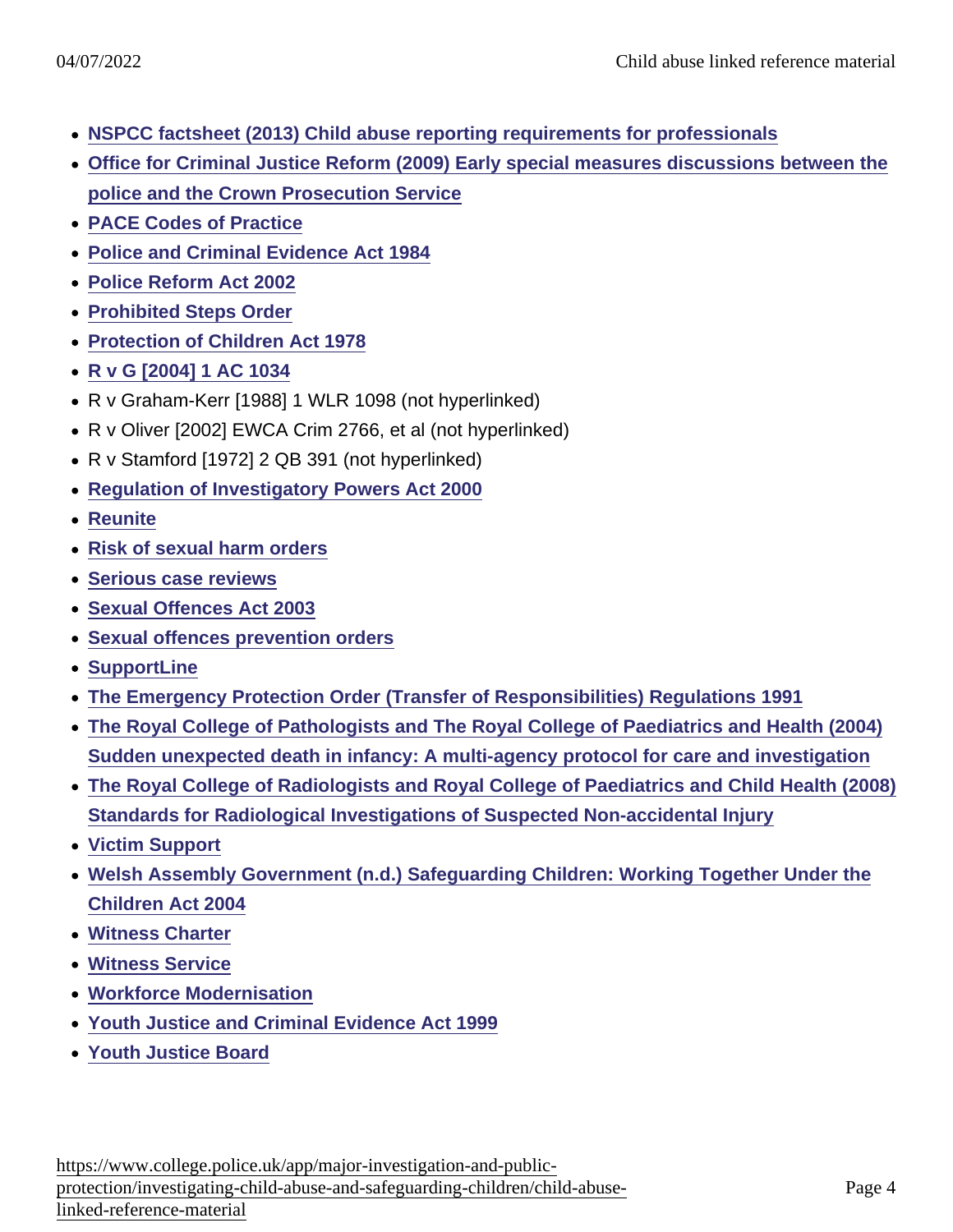- [NSPCC factsheet \(2013\) Child abuse reporting requirements for professionals](http://www.nspcc.org.uk/Inform/research/briefings/reporting_child_abuse_wda74908.html)
- [Office for Criminal Justice Reform \(2009\) Early special measures discussions between the](http://www.cps.gov.uk/legal/assets/uploads/files/13007 early measures smd 5th.pdf) [police and the Crown Prosecution Service](http://www.cps.gov.uk/legal/assets/uploads/files/13007 early measures smd 5th.pdf)
- [PACE Codes of Practice](https://www.gov.uk/guidance/police-and-criminal-evidence-act-1984-pace-codes-of-practice)
- [Police and Criminal Evidence Act 1984](http://www.legislation.gov.uk/ukpga/1984/60/contents)
- [Police Reform Act 2002](http://www.legislation.gov.uk/ukpga/2002/30/contents)
- [Prohibited Steps Order](http://www.lexisnexis.com/uk/lexispsl/family/document/393787/55KB-DRH1-F18F-01MR-00000-00/Prohibited steps orders—overview)
- [Protection of Children Act 1978](http://www.legislation.gov.uk/ukpga/1978/37/contents)
- [R v G \[2004\] 1 AC 1034](http://www.bailii.org/uk/cases/UKHL/2003/50.html)
- R v Graham-Kerr [1988] 1 WLR 1098 (not hyperlinked)
- R v Oliver [2002] EWCA Crim 2766, et al (not hyperlinked)
- R v Stamford [1972] 2 QB 391 (not hyperlinked)
- [Regulation of Investigatory Powers Act 2000](http://www.legislation.gov.uk/ukpga/2000/23/contents)
- [Reunite](http://www.reunite.org/)
- [Risk of sexual harm orders](http://www.legislation.gov.uk/ukpga/2003/42/part/2/crossheading/risk-of-sexual-harm-orders)
- [Serious case reviews](https://www.gov.uk/government/policies/supporting-social-workers-to-provide-help-and-protection-to-children/supporting-pages/serious-case-reviews-scrs)
- [Sexual Offences Act 2003](http://www.legislation.gov.uk/ukpga/2003/42/contents)
- [Sexual offences prevention orders](http://www.legislation.gov.uk/ukpga/2003/42/part/2/crossheading/sexual-offences-prevention-orders)
- [SupportLine](http://www.supportline.org.uk/problems/child_abuse_survivors.php)
- [The Emergency Protection Order \(Transfer of Responsibilities\) Regulations 1991](http://www.legislation.gov.uk/uksi/1991/1414/made)
- [The Royal College of Pathologists and The Royal College of Paediatrics and Health \(2004\)](http://www.rcpath.org/NR/rdonlyres/30213EB6-451B-4830-A7FD-4EEFF0420260/0/SUDIreportforweb.pdf) [Sudden unexpected death in infancy: A multi-agency protocol for care and investigation](http://www.rcpath.org/NR/rdonlyres/30213EB6-451B-4830-A7FD-4EEFF0420260/0/SUDIreportforweb.pdf)
- [The Royal College of Radiologists and Royal College of Paediatrics and Child Health \(2008\)](http://www.rcr.ac.uk/docs/radiology/pdf/RCPCH_RCR_final.pdf) [Standards for Radiological Investigations of Suspected Non-accidental Injury](http://www.rcr.ac.uk/docs/radiology/pdf/RCPCH_RCR_final.pdf)
- [Victim Support](http://www.victimsupport.org.uk/)
- [Welsh Assembly Government \(n.d.\) Safeguarding Children: Working Together Under the](http://wales.gov.uk/docs/dhss/publications/091126safeguardingchildrenen.pdf) [Children Act 2004](http://wales.gov.uk/docs/dhss/publications/091126safeguardingchildrenen.pdf)
- [Witness Charter](https://www.gov.uk/government/uploads/system/uploads/attachment_data/file/264627/witness-charter-nov13.pdf)
- [Witness Service](http://www.victimsupport.org.uk/help-for-witnesses)
- [Workforce Modernisation](http://www.hmic.gov.uk/media/modernising-the-police-service-20040629.pdf)
- [Youth Justice and Criminal Evidence Act 1999](http://www.legislation.gov.uk/ukpga/1999/23/contents)
- [Youth Justice Board](http://www.justice.gov.uk/about/yjb/)